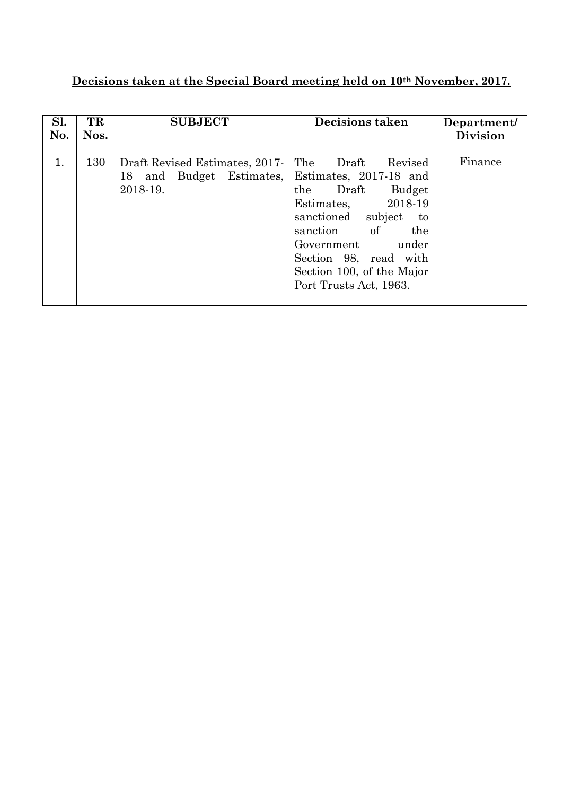## **Decisions taken at the Special Board meeting held on 10th November, 2017.**

| Sl.<br>No. | TR<br>Nos. | <b>SUBJECT</b>                 | <b>Decisions taken</b>      | Department/<br><b>Division</b> |
|------------|------------|--------------------------------|-----------------------------|--------------------------------|
|            |            |                                |                             |                                |
| 1.         | 130        | Draft Revised Estimates, 2017- | The<br>Revised<br>Draft     | Finance                        |
|            |            | and Budget Estimates,<br>18    | Estimates, 2017-18 and      |                                |
|            |            | 2018-19.                       | Budget<br>the<br>Draft      |                                |
|            |            |                                | 2018-19<br>Estimates,       |                                |
|            |            |                                | sanctioned<br>subject<br>to |                                |
|            |            |                                | of<br>sanction<br>the       |                                |
|            |            |                                | Government<br>under         |                                |
|            |            |                                | Section 98, read with       |                                |
|            |            |                                | Section 100, of the Major   |                                |
|            |            |                                | Port Trusts Act, 1963.      |                                |
|            |            |                                |                             |                                |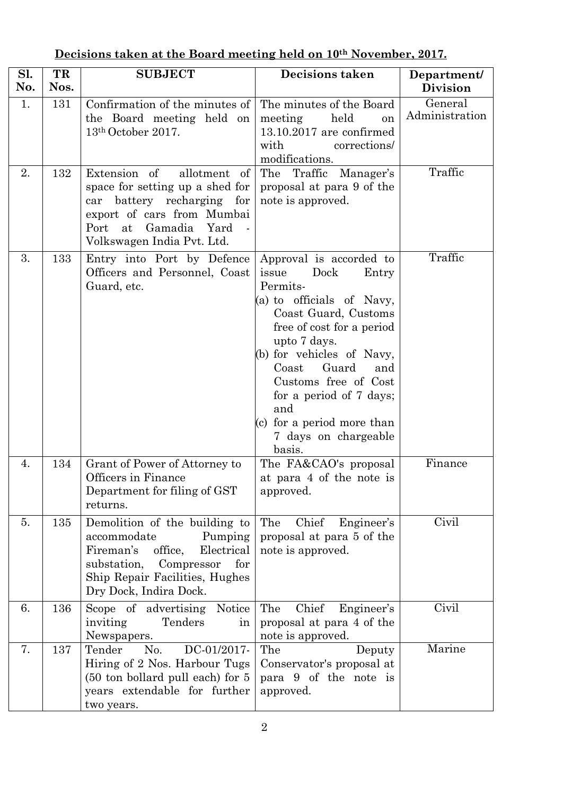| Sl.<br>No. | TR<br>Nos. | <b>SUBJECT</b>                                                                                                                                                                                | <b>Decisions taken</b>                                                                                                                                                                                                                                                                                                                          | Department/<br><b>Division</b> |
|------------|------------|-----------------------------------------------------------------------------------------------------------------------------------------------------------------------------------------------|-------------------------------------------------------------------------------------------------------------------------------------------------------------------------------------------------------------------------------------------------------------------------------------------------------------------------------------------------|--------------------------------|
| 1.         | 131        | Confirmation of the minutes of<br>the Board meeting held on<br>13th October 2017.                                                                                                             | The minutes of the Board<br>held<br>meeting<br>on<br>$13.10.2017$ are confirmed<br>corrections/<br>with<br>modifications.                                                                                                                                                                                                                       | General<br>Administration      |
| 2.         | 132        | Extension of<br>allotment of<br>space for setting up a shed for<br>battery recharging for<br>car<br>export of cars from Mumbai<br>Port<br>at<br>Gamadia<br>Yard<br>Volkswagen India Pvt. Ltd. | The Traffic Manager's<br>proposal at para 9 of the<br>note is approved.                                                                                                                                                                                                                                                                         | Traffic                        |
| 3.         | 133        | Entry into Port by Defence<br>Officers and Personnel, Coast<br>Guard, etc.                                                                                                                    | Approval is accorded to<br>issue<br>Dock<br>Entry<br>Permits-<br>(a) to officials of Navy,<br>Coast Guard, Customs<br>free of cost for a period<br>upto 7 days.<br>(b) for vehicles of Navy,<br>Guard<br>Coast<br>and<br>Customs free of Cost<br>for a period of 7 days;<br>and<br>(c) for a period more than<br>7 days on chargeable<br>basis. | Traffic                        |
| 4.         | 134        | Grant of Power of Attorney to<br>Officers in Finance<br>Department for filing of GST<br>returns.                                                                                              | The FA&CAO's proposal<br>at para 4 of the note is<br>approved.                                                                                                                                                                                                                                                                                  | Finance                        |
| 5.         | 135        | Demolition of the building to<br>accommodate<br>Pumping<br>Fireman's<br>Electrical<br>office,<br>Compressor<br>substation,<br>for<br>Ship Repair Facilities, Hughes<br>Dry Dock, Indira Dock. | The<br>Chief<br>Engineer's<br>proposal at para 5 of the<br>note is approved.                                                                                                                                                                                                                                                                    | Civil                          |
| 6.         | 136        | Scope of advertising<br>Notice<br>inviting<br>Tenders<br>in<br>Newspapers.                                                                                                                    | Chief<br>The<br>Engineer's<br>proposal at para 4 of the<br>note is approved.                                                                                                                                                                                                                                                                    | Civil                          |
| 7.         | 137        | Tender<br>No.<br>DC-01/2017-<br>Hiring of 2 Nos. Harbour Tugs<br>$(50 \text{ ton } \text{bollard } \text{pull } \text{each})$ for 5<br>years extendable for further<br>two years.             | The<br>Deputy<br>Conservator's proposal at<br>para 9 of the note is<br>approved.                                                                                                                                                                                                                                                                | Marine                         |

## **Decisions taken at the Board meeting held on 10th November, 2017.**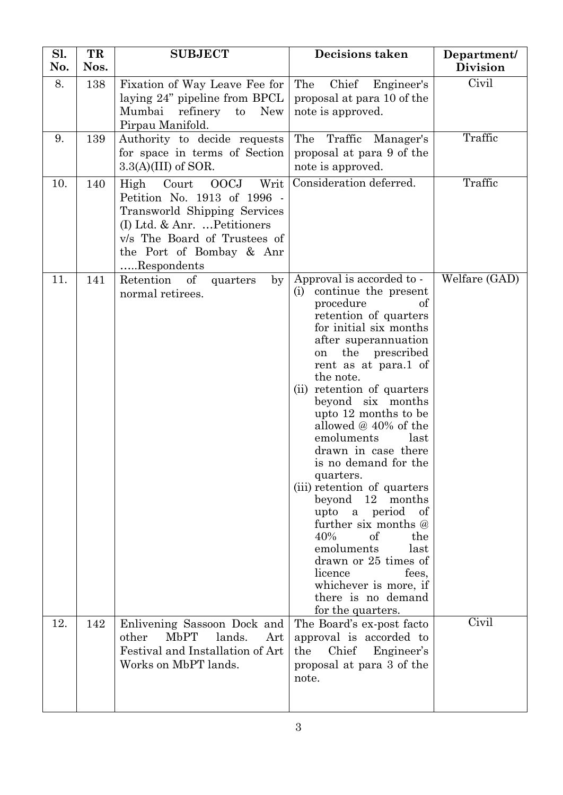| Sl.<br>No. | TR<br>Nos. | <b>SUBJECT</b>                                                                                                                                                                                                 | <b>Decisions taken</b>                                                                                                                                                                                                                                                                                                                                                                                                                                                                                                                                                                                                                                            | Department/<br><b>Division</b> |
|------------|------------|----------------------------------------------------------------------------------------------------------------------------------------------------------------------------------------------------------------|-------------------------------------------------------------------------------------------------------------------------------------------------------------------------------------------------------------------------------------------------------------------------------------------------------------------------------------------------------------------------------------------------------------------------------------------------------------------------------------------------------------------------------------------------------------------------------------------------------------------------------------------------------------------|--------------------------------|
| 8.         | 138        | Fixation of Way Leave Fee for<br>laying 24" pipeline from BPCL<br>Mumbai<br>refinery<br><b>New</b><br>$\mathbf{t}$<br>Pirpau Manifold.                                                                         | The<br>Chief<br>Engineer's<br>proposal at para 10 of the<br>note is approved.                                                                                                                                                                                                                                                                                                                                                                                                                                                                                                                                                                                     | Civil                          |
| 9.         | 139        | Authority to decide requests<br>for space in terms of Section<br>$3.3(A)(III)$ of SOR.                                                                                                                         | The<br>Traffic<br>Manager's<br>proposal at para 9 of the<br>note is approved.                                                                                                                                                                                                                                                                                                                                                                                                                                                                                                                                                                                     | Traffic                        |
| 10.        | 140        | <b>OOCJ</b><br>Writ<br>Court<br>High<br>Petition No. 1913 of 1996 -<br>Transworld Shipping Services<br>(I) Ltd. & Anr.  Petitioners<br>v/s The Board of Trustees of<br>the Port of Bombay & Anr<br>Respondents | Consideration deferred.                                                                                                                                                                                                                                                                                                                                                                                                                                                                                                                                                                                                                                           | Traffic                        |
| 11.        | 141        | Retention of<br>by<br>quarters<br>normal retirees.                                                                                                                                                             | Approval is accorded to -<br>continue the present<br>(i)<br>of<br>procedure<br>retention of quarters<br>for initial six months<br>after superannuation<br>the prescribed<br>on<br>rent as at para.1 of<br>the note.<br>(ii) retention of quarters<br>beyond six months<br>upto 12 months to be<br>allowed @ 40% of the<br>emoluments<br>last<br>drawn in case there<br>is no demand for the<br>quarters.<br>(iii) retention of quarters<br>beyond 12 months<br>upto a period of<br>further six months @<br>40%<br>of<br>the<br>emoluments<br>last<br>drawn or 25 times of<br>licence<br>fees.<br>whichever is more, if<br>there is no demand<br>for the quarters. | Welfare (GAD)                  |
| 12.        | 142        | Enlivening Sassoon Dock and<br><b>MbPT</b><br>lands.<br>other<br>Art<br>Festival and Installation of Art<br>Works on MbPT lands.                                                                               | The Board's ex-post facto<br>approval is accorded to<br>Chief<br>the<br>Engineer's<br>proposal at para 3 of the<br>note.                                                                                                                                                                                                                                                                                                                                                                                                                                                                                                                                          | Civil                          |